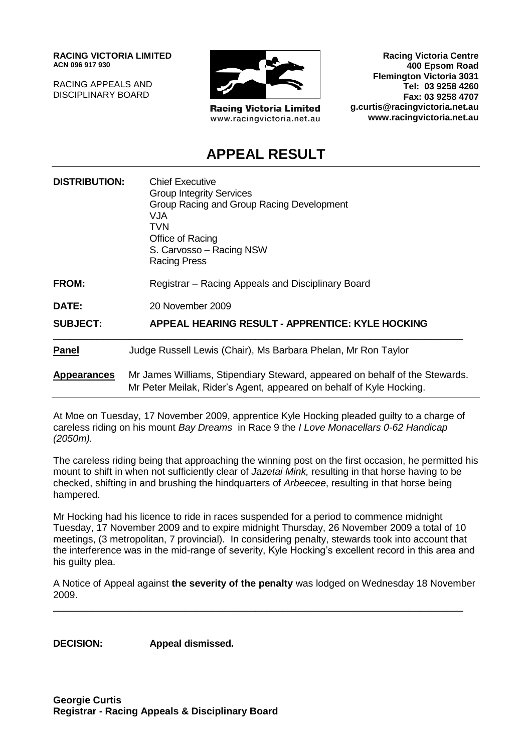**RACING VICTORIA LIMITED ACN 096 917 930**

RACING APPEALS AND DISCIPLINARY BOARD



**Racing Victoria Limited** www.racingvictoria.net.au

**Racing Victoria Centre 400 Epsom Road Flemington Victoria 3031 Tel: 03 9258 4260 Fax: 03 9258 4707 g.curtis@racingvictoria.net.au www.racingvictoria.net.au**

# **APPEAL RESULT**

| <b>DISTRIBUTION:</b> | <b>Chief Executive</b><br><b>Group Integrity Services</b><br>Group Racing and Group Racing Development<br>VJA.<br>TVN<br>Office of Racing<br>S. Carvosso - Racing NSW<br><b>Racing Press</b> |
|----------------------|----------------------------------------------------------------------------------------------------------------------------------------------------------------------------------------------|
| <b>FROM:</b>         | Registrar – Racing Appeals and Disciplinary Board                                                                                                                                            |
| DATE:                | 20 November 2009                                                                                                                                                                             |
| <b>SUBJECT:</b>      | <b>APPEAL HEARING RESULT - APPRENTICE: KYLE HOCKING</b>                                                                                                                                      |
| <b>Panel</b>         | Judge Russell Lewis (Chair), Ms Barbara Phelan, Mr Ron Taylor                                                                                                                                |
| <b>Appearances</b>   | Mr James Williams, Stipendiary Steward, appeared on behalf of the Stewards.<br>Mr Peter Meilak, Rider's Agent, appeared on behalf of Kyle Hocking.                                           |

At Moe on Tuesday, 17 November 2009, apprentice Kyle Hocking pleaded guilty to a charge of careless riding on his mount *Bay Dreams* in Race 9 the *I Love Monacellars 0-62 Handicap (2050m).*

The careless riding being that approaching the winning post on the first occasion, he permitted his mount to shift in when not sufficiently clear of *Jazetai Mink,* resulting in that horse having to be checked, shifting in and brushing the hindquarters of *Arbeecee*, resulting in that horse being hampered.

Mr Hocking had his licence to ride in races suspended for a period to commence midnight Tuesday, 17 November 2009 and to expire midnight Thursday, 26 November 2009 a total of 10 meetings, (3 metropolitan, 7 provincial). In considering penalty, stewards took into account that the interference was in the mid-range of severity, Kyle Hocking's excellent record in this area and his guilty plea.

A Notice of Appeal against **the severity of the penalty** was lodged on Wednesday 18 November 2009.

\_\_\_\_\_\_\_\_\_\_\_\_\_\_\_\_\_\_\_\_\_\_\_\_\_\_\_\_\_\_\_\_\_\_\_\_\_\_\_\_\_\_\_\_\_\_\_\_\_\_\_\_\_\_\_\_\_\_\_\_\_\_\_\_\_\_\_\_\_\_\_\_\_\_\_

**DECISION: Appeal dismissed.**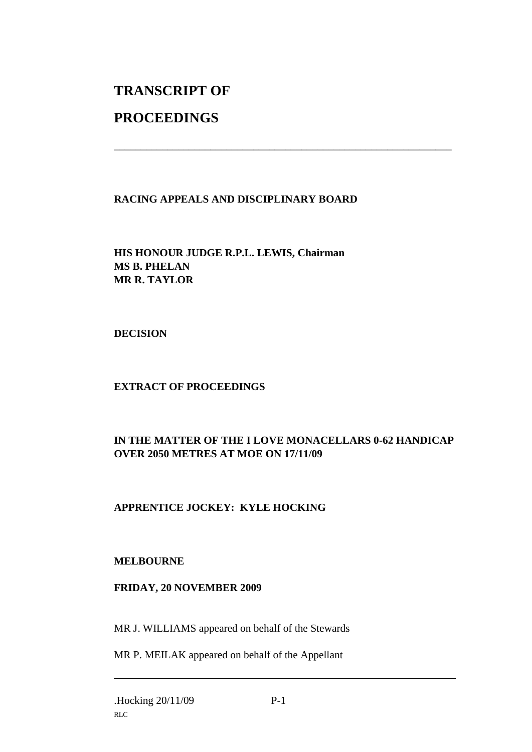# **TRANSCRIPT OF**

# **PROCEEDINGS**

### **RACING APPEALS AND DISCIPLINARY BOARD**

\_\_\_\_\_\_\_\_\_\_\_\_\_\_\_\_\_\_\_\_\_\_\_\_\_\_\_\_\_\_\_\_\_\_\_\_\_\_\_\_\_\_\_\_\_\_\_\_\_\_\_\_\_\_\_\_\_\_\_\_\_\_\_

## **HIS HONOUR JUDGE R.P.L. LEWIS, Chairman MS B. PHELAN MR R. TAYLOR**

**DECISION**

### **EXTRACT OF PROCEEDINGS**

## **IN THE MATTER OF THE I LOVE MONACELLARS 0-62 HANDICAP OVER 2050 METRES AT MOE ON 17/11/09**

### **APPRENTICE JOCKEY: KYLE HOCKING**

#### **MELBOURNE**

#### **FRIDAY, 20 NOVEMBER 2009**

MR J. WILLIAMS appeared on behalf of the Stewards

MR P. MEILAK appeared on behalf of the Appellant